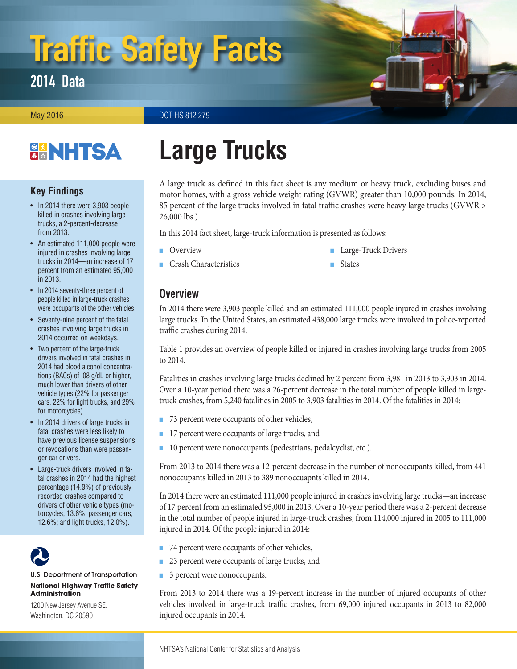# Traffic Safety Facts

2014 Data

May 2016 **DOT HS 812 279** 

# **BANHTSA**

# **Key Findings**

- In 2014 there were 3,903 people killed in crashes involving large trucks, a 2-percent-decrease from 2013.
- An estimated 111,000 people were injured in crashes involving large trucks in 2014—an increase of 17 percent from an estimated 95,000 in 2013.
- In 2014 seventy-three percent of people killed in large-truck crashes were occupants of the other vehicles.
- Seventy-nine percent of the fatal crashes involving large trucks in 2014 occurred on weekdays.
- Two percent of the large-truck drivers involved in fatal crashes in 2014 had blood alcohol concentrations (BACs) of .08 g/dL or higher, much lower than drivers of other vehicle types (22% for passenger cars, 22% for light trucks, and 29% for motorcycles).
- In 2014 drivers of large trucks in fatal crashes were less likely to have previous license suspensions or revocations than were passenger car drivers.
- Large-truck drivers involved in fatal crashes in 2014 had the highest percentage (14.9%) of previously recorded crashes compared to drivers of other vehicle types (motorcycles, 13.6%; passenger cars, 12.6%; and light trucks, 12.0%).



#### U.S. Department of Transportation **National Highway Traffic Safety Administration**

1200 New Jersey Avenue SE. Washington, DC 20590

# **Large Trucks**

A large truck as defined in this fact sheet is any medium or heavy truck, excluding buses and motor homes, with a gross vehicle weight rating (GVWR) greater than 10,000 pounds. In 2014, 85 percent of the large trucks involved in fatal traffic crashes were heavy large trucks (GVWR > 26,000 lbs.).

In this 2014 fact sheet, large-truck information is presented as follows:

- [Overview](#page-0-0)
- [Crash Characteristics](#page-2-0)
- [Large-Truck Drivers](#page-4-0)
- [States](#page-5-0)

# <span id="page-0-0"></span>**Overview**

In 2014 there were 3,903 people killed and an estimated 111,000 people injured in crashes involving large trucks. In the United States, an estimated 438,000 large trucks were involved in police-reported traffic crashes during 2014.

Table 1 provides an overview of people killed or injured in crashes involving large trucks from 2005 to 2014.

Fatalities in crashes involving large trucks declined by 2 percent from 3,981 in 2013 to 3,903 in 2014. Over a 10-year period there was a 26-percent decrease in the total number of people killed in largetruck crashes, from 5,240 fatalities in 2005 to 3,903 fatalities in 2014. Of the fatalities in 2014:

- 73 percent were occupants of other vehicles,
- 17 percent were occupants of large trucks, and
- 10 percent were nonoccupants (pedestrians, pedalcyclist, etc.).

From 2013 to 2014 there was a 12-percent decrease in the number of nonoccupants killed, from 441 nonoccupants killed in 2013 to 389 nonoccuapnts killed in 2014.

In 2014 there were an estimated 111,000 people injured in crashes involving large trucks—an increase of 17 percent from an estimated 95,000 in 2013. Over a 10-year period there was a 2-percent decrease in the total number of people injured in large-truck crashes, from 114,000 injured in 2005 to 111,000 injured in 2014. Of the people injured in 2014:

- 74 percent were occupants of other vehicles,
- 23 percent were occupants of large trucks, and
- 3 percent were nonoccupants.

From 2013 to 2014 there was a 19-percent increase in the number of injured occupants of other vehicles involved in large-truck traffic crashes, from 69,000 injured occupants in 2013 to 82,000 injured occupants in 2014.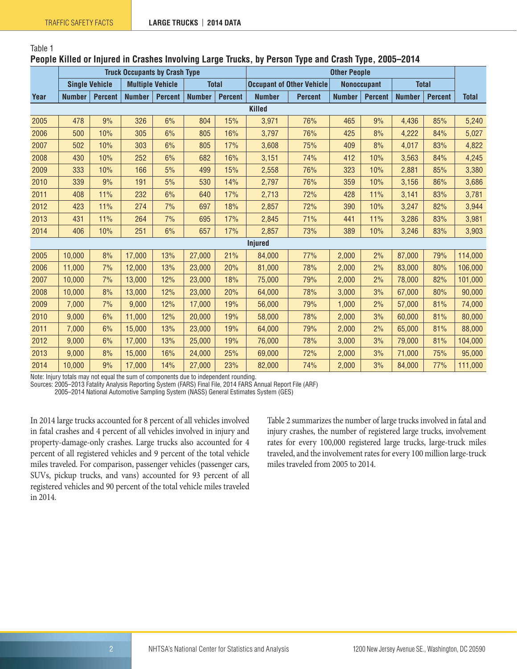Table 1

#### **People Killed or Injured in Crashes Involving Large Trucks, by Person Type and Crash Type, 2005–2014**

|               | <b>Truck Occupants by Crash Type</b> |                |                         |                | <b>Other People</b> |                |                                  |                |                    |                |               |                |              |
|---------------|--------------------------------------|----------------|-------------------------|----------------|---------------------|----------------|----------------------------------|----------------|--------------------|----------------|---------------|----------------|--------------|
|               | <b>Single Vehicle</b>                |                | <b>Multiple Vehicle</b> |                | <b>Total</b>        |                | <b>Occupant of Other Vehicle</b> |                | <b>Nonoccupant</b> |                | <b>Total</b>  |                |              |
| Year          | <b>Number</b>                        | <b>Percent</b> | <b>Number</b>           | <b>Percent</b> | <b>Number</b>       | <b>Percent</b> | <b>Number</b>                    | <b>Percent</b> | <b>Number</b>      | <b>Percent</b> | <b>Number</b> | <b>Percent</b> | <b>Total</b> |
| <b>Killed</b> |                                      |                |                         |                |                     |                |                                  |                |                    |                |               |                |              |
| 2005          | 478                                  | 9%             | 326                     | 6%             | 804                 | 15%            | 3,971                            | 76%            | 465                | 9%             | 4,436         | 85%            | 5,240        |
| 2006          | 500                                  | 10%            | 305                     | 6%             | 805                 | 16%            | 3,797                            | 76%            | 425                | 8%             | 4,222         | 84%            | 5,027        |
| 2007          | 502                                  | 10%            | 303                     | 6%             | 805                 | 17%            | 3,608                            | 75%            | 409                | 8%             | 4,017         | 83%            | 4,822        |
| 2008          | 430                                  | 10%            | 252                     | 6%             | 682                 | 16%            | 3,151                            | 74%            | 412                | 10%            | 3,563         | 84%            | 4,245        |
| 2009          | 333                                  | 10%            | 166                     | 5%             | 499                 | 15%            | 2,558                            | 76%            | 323                | 10%            | 2,881         | 85%            | 3,380        |
| 2010          | 339                                  | 9%             | 191                     | 5%             | 530                 | 14%            | 2,797                            | 76%            | 359                | 10%            | 3,156         | 86%            | 3,686        |
| 2011          | 408                                  | 11%            | 232                     | 6%             | 640                 | 17%            | 2,713                            | 72%            | 428                | 11%            | 3,141         | 83%            | 3,781        |
| 2012          | 423                                  | 11%            | 274                     | 7%             | 697                 | 18%            | 2,857                            | 72%            | 390                | 10%            | 3,247         | 82%            | 3,944        |
| 2013          | 431                                  | 11%            | 264                     | 7%             | 695                 | 17%            | 2,845                            | 71%            | 441                | 11%            | 3,286         | 83%            | 3,981        |
| 2014          | 406                                  | 10%            | 251                     | 6%             | 657                 | 17%            | 2,857                            | 73%            | 389                | 10%            | 3,246         | 83%            | 3,903        |
|               |                                      |                |                         |                |                     |                | <b>Injured</b>                   |                |                    |                |               |                |              |
| 2005          | 10,000                               | 8%             | 17,000                  | 13%            | 27,000              | 21%            | 84,000                           | 77%            | 2,000              | 2%             | 87,000        | 79%            | 114,000      |
| 2006          | 11,000                               | 7%             | 12,000                  | 13%            | 23,000              | 20%            | 81,000                           | 78%            | 2,000              | 2%             | 83,000        | 80%            | 106,000      |
| 2007          | 10,000                               | 7%             | 13,000                  | 12%            | 23,000              | 18%            | 75,000                           | 79%            | 2,000              | 2%             | 78,000        | 82%            | 101,000      |
| 2008          | 10,000                               | 8%             | 13,000                  | 12%            | 23,000              | 20%            | 64,000                           | 78%            | 3,000              | 3%             | 67,000        | 80%            | 90,000       |
| 2009          | 7,000                                | 7%             | 9,000                   | 12%            | 17,000              | 19%            | 56,000                           | 79%            | 1,000              | 2%             | 57,000        | 81%            | 74,000       |
| 2010          | 9,000                                | 6%             | 11,000                  | 12%            | 20,000              | 19%            | 58,000                           | 78%            | 2,000              | 3%             | 60,000        | 81%            | 80,000       |
| 2011          | 7,000                                | 6%             | 15,000                  | 13%            | 23,000              | 19%            | 64,000                           | 79%            | 2,000              | 2%             | 65,000        | 81%            | 88,000       |
| 2012          | 9,000                                | 6%             | 17,000                  | 13%            | 25,000              | 19%            | 76,000                           | 78%            | 3,000              | 3%             | 79,000        | 81%            | 104,000      |
| 2013          | 9,000                                | 8%             | 15,000                  | 16%            | 24,000              | 25%            | 69,000                           | 72%            | 2,000              | 3%             | 71,000        | 75%            | 95,000       |
| 2014          | 10,000                               | 9%             | 17,000                  | 14%            | 27,000              | 23%            | 82,000                           | 74%            | 2,000              | 3%             | 84,000        | 77%            | 111,000      |

Note: Injury totals may not equal the sum of components due to independent rounding.

Sources: 2005–2013 Fatality Analysis Reporting System (FARS) Final File, 2014 FARS Annual Report File (ARF)

2005–2014 National Automotive Sampling System (NASS) General Estimates System (GES)

In 2014 large trucks accounted for 8 percent of all vehicles involved in fatal crashes and 4 percent of all vehicles involved in injury and property-damage-only crashes. Large trucks also accounted for 4 percent of all registered vehicles and 9 percent of the total vehicle miles traveled. For comparison, passenger vehicles (passenger cars, SUVs, pickup trucks, and vans) accounted for 93 percent of all registered vehicles and 90 percent of the total vehicle miles traveled in 2014.

Table 2 summarizes the number of large trucks involved in fatal and injury crashes, the number of registered large trucks, involvement rates for every 100,000 registered large trucks, large-truck miles traveled, and the involvement rates for every 100 million large-truck miles traveled from 2005 to 2014.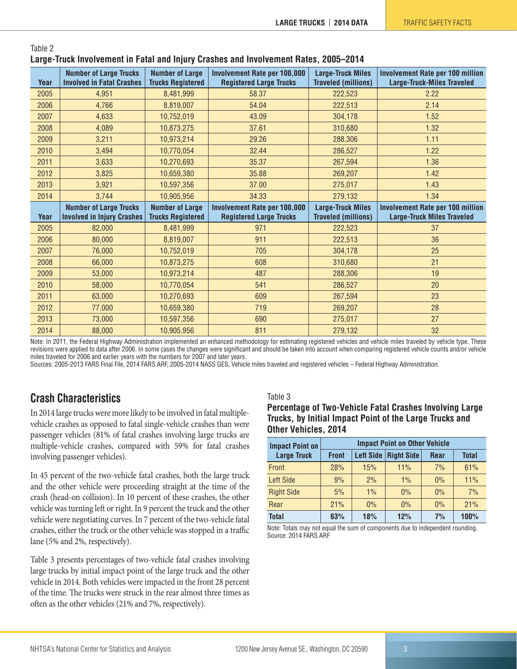| Year | <b>Number of Large Trucks</b><br><b>Involved in Fatal Crashes</b> | <b>Number of Large</b><br><b>Trucks Registered</b> | Involvement Rate per 100,000<br><b>Registered Large Trucks</b> | <b>Large-Truck Miles</b><br><b>Traveled (millions)</b> | <b>Involvement Rate per 100 million</b><br><b>Large-Truck-Miles Traveled</b> |
|------|-------------------------------------------------------------------|----------------------------------------------------|----------------------------------------------------------------|--------------------------------------------------------|------------------------------------------------------------------------------|
| 2005 | 4,951                                                             | 8,481,999                                          | 58.37                                                          | 222,523                                                | 2.22                                                                         |
| 2006 | 4,766                                                             | 8,819,007                                          | 54.04                                                          | 222,513                                                | 2.14                                                                         |
| 2007 | 4,633                                                             | 10,752,019                                         | 43.09                                                          | 304,178                                                | 1.52                                                                         |
| 2008 | 4,089                                                             | 10,873,275                                         | 37.61                                                          | 310,680                                                | 1.32                                                                         |
| 2009 | 3,211                                                             | 10,973,214                                         | 29.26                                                          | 288,306                                                | 1.11                                                                         |
| 2010 | 3.494                                                             | 10,770,054                                         | 32.44                                                          | 286,527                                                | 1.22                                                                         |
| 2011 | 3,633                                                             | 10,270,693                                         | 35.37                                                          | 267,594                                                | 1.36                                                                         |
| 2012 | 3,825                                                             | 10,659,380                                         | 35.88                                                          | 269,207                                                | 1.42                                                                         |
| 2013 | 3,921                                                             | 10,597,356                                         | 37.00                                                          | 275,017                                                | 1.43                                                                         |
| 2014 | 3,744                                                             | 10,905,956                                         | 34.33                                                          | 279,132                                                | 1.34                                                                         |
|      |                                                                   |                                                    |                                                                |                                                        |                                                                              |
|      | <b>Number of Large Trucks</b>                                     | <b>Number of Large</b>                             | Involvement Rate per 100,000                                   | <b>Large-Truck Miles</b>                               |                                                                              |
| Year | <b>Involved in Injury Crashes</b>                                 | <b>Trucks Registered</b>                           | <b>Registered Large Trucks</b>                                 | <b>Traveled (millions)</b>                             | <b>Involvement Rate per 100 million</b><br><b>Large-Truck Miles Traveled</b> |
| 2005 | 82,000                                                            | 8,481,999                                          | 971                                                            | 222,523                                                | 37                                                                           |
| 2006 | 80.000                                                            | 8,819,007                                          | 911                                                            | 222,513                                                | 36                                                                           |
| 2007 | 76,000                                                            | 10,752,019                                         | 705                                                            | 304,178                                                | 25                                                                           |
| 2008 | 66.000                                                            | 10,873,275                                         | 608                                                            | 310,680                                                | 21                                                                           |
| 2009 | 53,000                                                            | 10,973,214                                         | 487                                                            | 288,306                                                | 19                                                                           |
| 2010 | 58,000                                                            | 10,770,054                                         | 541                                                            | 286,527                                                | 20                                                                           |
| 2011 | 63,000                                                            | 10,270,693                                         | 609                                                            | 267,594                                                | 23                                                                           |
| 2012 | 77,000                                                            | 10,659,380                                         | 719                                                            | 269,207                                                | 28                                                                           |
| 2013 | 73,000                                                            | 10,597,356                                         | 690                                                            | 275,017                                                | 27                                                                           |

Table 2 **Large-Truck Involvement in Fatal and Injury Crashes and Involvement Rates, 2005–2014**

Note: In 2011, the Federal Highway Administration implemented an enhanced methodology for estimating registered vehicles and vehicle miles traveled by vehicle type. These revisions were applied to data after 2006. In some cases the changes were significant and should be taken into account when comparing registered vehicle counts and/or vehicle miles traveled for 2006 and earlier years with the numbers for 2007 and later years.

Sources: 2005-2013 FARS Final File, 2014 FARS ARF, 2005-2014 NASS GES, Vehicle miles traveled and registered vehicles – Federal Highway Administration.

# <span id="page-2-0"></span>**Crash Characteristics**

In 2014 large trucks were more likely to be involved in fatal multiplevehicle crashes as opposed to fatal single-vehicle crashes than were passenger vehicles (81% of fatal crashes involving large trucks are multiple-vehicle crashes, compared with 59% for fatal crashes involving passenger vehicles).

In 45 percent of the two-vehicle fatal crashes, both the large truck and the other vehicle were proceeding straight at the time of the crash (head-on collision). In 10 percent of these crashes, the other vehicle was turning left or right. In 9 percent the truck and the other vehicle were negotiating curves. In 7 percent of the two-vehicle fatal crashes, either the truck or the other vehicle was stopped in a traffic lane (5% and 2%, respectively).

Table 3 presents percentages of two-vehicle fatal crashes involving large trucks by initial impact point of the large truck and the other vehicle in 2014. Both vehicles were impacted in the front 28 percent of the time. The trucks were struck in the rear almost three times as often as the other vehicles (21% and 7%, respectively).

#### Table 3

| Percentage of Two-Vehicle Fatal Crashes Involving Large |
|---------------------------------------------------------|
| Trucks, by Initial Impact Point of the Large Trucks and |
| Other Vehicles, 2014                                    |

| <b>Impact Point on</b> | <b>Impact Point on Other Vehicle</b> |                  |                   |             |              |  |  |  |
|------------------------|--------------------------------------|------------------|-------------------|-------------|--------------|--|--|--|
| <b>Large Truck</b>     | <b>Front</b>                         | <b>Left Side</b> | <b>Right Side</b> | <b>Rear</b> | <b>Total</b> |  |  |  |
| Front                  | 28%                                  | 15%              | 11%               | 7%          | 61%          |  |  |  |
| <b>Left Side</b>       | 9%                                   | 2%               | $1\%$             | $0\%$       | 11%          |  |  |  |
| <b>Right Side</b>      | 5%                                   | $1\%$            | $0\%$             | $0\%$       | 7%           |  |  |  |
| Rear                   | 21%                                  | $0\%$            | $0\%$             | $0\%$       | 21%          |  |  |  |
| <b>Total</b>           | 63%                                  | 18%              | 12%               | 7%          | 100%         |  |  |  |

Note: Totals may not equal the sum of components due to independent rounding. Source: 2014 FARS ARF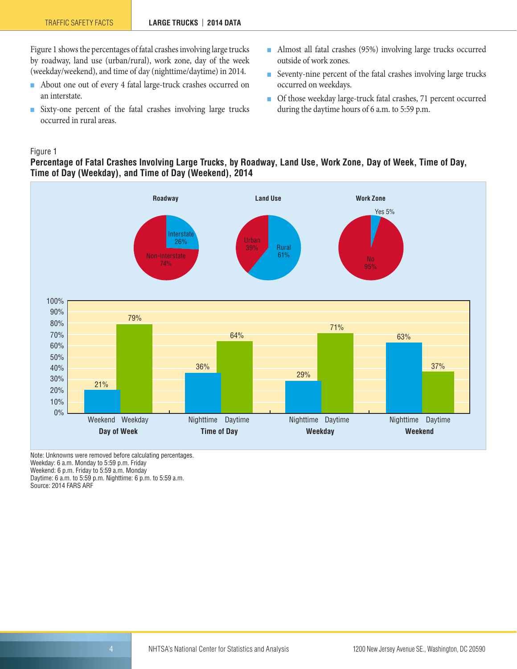Figure 1 shows the percentages of fatal crashes involving large trucks by roadway, land use (urban/rural), work zone, day of the week (weekday/weekend), and time of day (nighttime/daytime) in 2014.

- About one out of every 4 fatal large-truck crashes occurred on an interstate.
- Sixty-one percent of the fatal crashes involving large trucks occurred in rural areas.
- Almost all fatal crashes (95%) involving large trucks occurred outside of work zones.
- Seventy-nine percent of the fatal crashes involving large trucks occurred on weekdays.
- Of those weekday large-truck fatal crashes, 71 percent occurred during the daytime hours of 6 a.m. to 5:59 p.m.

#### Figure 1

#### **Percentage of Fatal Crashes Involving Large Trucks, by Roadway, Land Use, Work Zone, Day of Week, Time of Day, Time of Day (Weekday), and Time of Day (Weekend), 2014**



Note: Unknowns were removed before calculating percentages. Weekday: 6 a.m. Monday to 5:59 p.m. Friday Weekend: 6 p.m. Friday to 5:59 a.m. Monday Daytime: 6 a.m. to 5:59 p.m. Nighttime: 6 p.m. to 5:59 a.m. Source: 2014 FARS ARF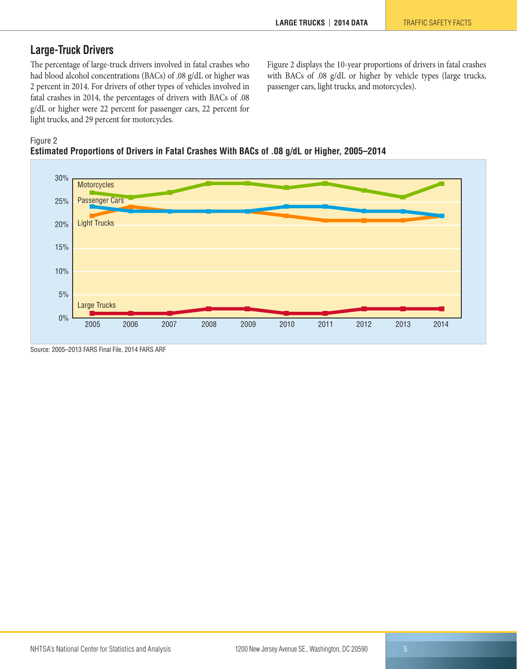# <span id="page-4-0"></span>**Large-Truck Drivers**

The percentage of large-truck drivers involved in fatal crashes who had blood alcohol concentrations (BACs) of .08 g/dL or higher was 2 percent in 2014. For drivers of other types of vehicles involved in fatal crashes in 2014, the percentages of drivers with BACs of .08 g/dL or higher were 22 percent for passenger cars, 22 percent for light trucks, and 29 percent for motorcycles.

Figure 2 displays the 10-year proportions of drivers in fatal crashes with BACs of .08 g/dL or higher by vehicle types (large trucks, passenger cars, light trucks, and motorcycles).

#### Figure 2





#### Source: 2005–2013 FARS Final File, 2014 FARS ARF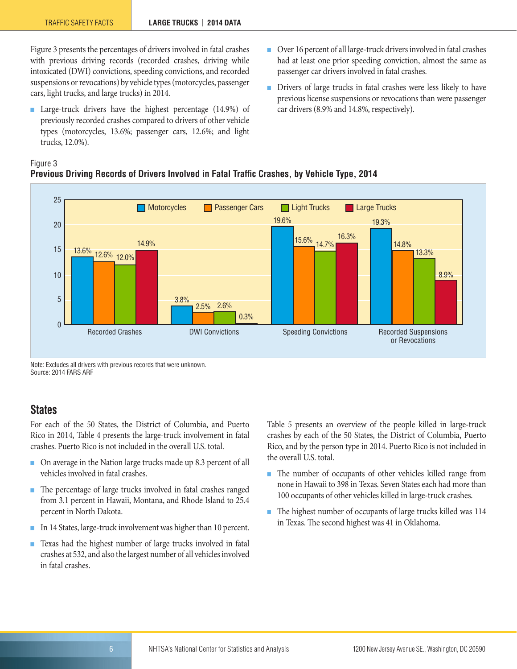Figure 3 presents the percentages of drivers involved in fatal crashes with previous driving records (recorded crashes, driving while intoxicated (DWI) convictions, speeding convictions, and recorded suspensions or revocations) by vehicle types (motorcycles, passenger cars, light trucks, and large trucks) in 2014.

- Large-truck drivers have the highest percentage (14.9%) of previously recorded crashes compared to drivers of other vehicle types (motorcycles, 13.6%; passenger cars, 12.6%; and light trucks, 12.0%).
- Over 16 percent of all large-truck drivers involved in fatal crashes had at least one prior speeding conviction, almost the same as passenger car drivers involved in fatal crashes.
- Drivers of large trucks in fatal crashes were less likely to have previous license suspensions or revocations than were passenger car drivers (8.9% and 14.8%, respectively).

#### Figure 3 **Previous Driving Records of Drivers Involved in Fatal Traffic Crashes, by Vehicle Type, 2014**



Note: Excludes all drivers with previous records that were unknown. Source: 2014 FARS ARF

#### <span id="page-5-0"></span>**States**

For each of the 50 States, the District of Columbia, and Puerto Rico in 2014, Table 4 presents the large-truck involvement in fatal crashes. Puerto Rico is not included in the overall U.S. total.

- On average in the Nation large trucks made up 8.3 percent of all vehicles involved in fatal crashes.
- The percentage of large trucks involved in fatal crashes ranged from 3.1 percent in Hawaii, Montana, and Rhode Island to 25.4 percent in North Dakota.
- In 14 States, large-truck involvement was higher than 10 percent.
- Texas had the highest number of large trucks involved in fatal crashes at 532, and also the largest number of all vehicles involved in fatal crashes.

Table 5 presents an overview of the people killed in large-truck crashes by each of the 50 States, the District of Columbia, Puerto Rico, and by the person type in 2014. Puerto Rico is not included in the overall U.S. total.

- The number of occupants of other vehicles killed range from none in Hawaii to 398 in Texas. Seven States each had more than 100 occupants of other vehicles killed in large-truck crashes.
- The highest number of occupants of large trucks killed was 114 in Texas. The second highest was 41 in Oklahoma.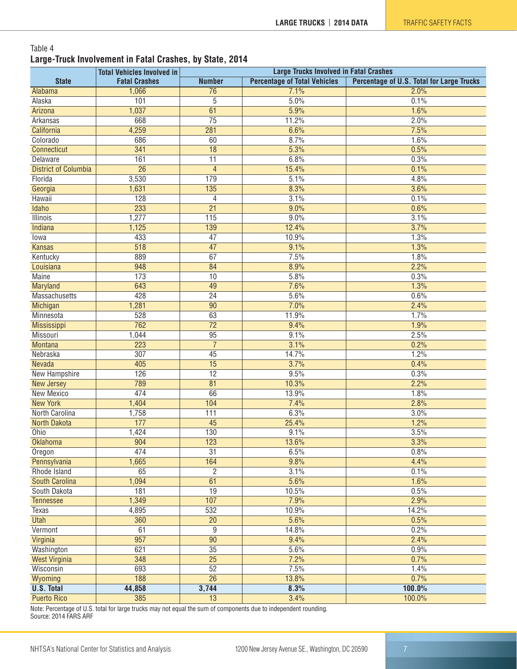#### Table 4 **Large-Truck Involvement in Fatal Crashes, by State, 2014**

|                             | <b>Total Vehicles Involved in</b> |                  | <b>Large Trucks Involved in Fatal Crashes</b> |                                           |
|-----------------------------|-----------------------------------|------------------|-----------------------------------------------|-------------------------------------------|
| <b>State</b>                | <b>Fatal Crashes</b>              | <b>Number</b>    | <b>Percentage of Total Vehicles</b>           | Percentage of U.S. Total for Large Trucks |
| Alabama                     | 1,066                             | 76               | 7.1%                                          | 2.0%                                      |
| Alaska                      | 101                               | 5                | 5.0%                                          | 0.1%                                      |
| Arizona                     | 1,037                             | 61               | 5.9%                                          | 1.6%                                      |
| Arkansas                    | 668                               | $\overline{75}$  | 11.2%                                         | 2.0%                                      |
| California                  | 4,259                             | 281              | 6.6%                                          | 7.5%                                      |
| Colorado                    | 686                               | 60               | 8.7%                                          | 1.6%                                      |
| Connecticut                 | 341                               | 18               | 5.3%                                          | 0.5%                                      |
| Delaware                    | 161                               | $\overline{11}$  | 6.8%                                          | 0.3%                                      |
| <b>District of Columbia</b> | $\overline{26}$                   | $\overline{4}$   | 15.4%                                         | 0.1%                                      |
| Florida                     | 3,530                             | 179              | 5.1%                                          | 4.8%                                      |
| Georgia                     | 1,631                             | $\overline{135}$ | 8.3%                                          | 3.6%                                      |
| Hawaii                      | $\overline{128}$                  | $\overline{4}$   | 3.1%                                          | 0.1%                                      |
| Idaho                       | 233                               | $\overline{21}$  | 9.0%                                          | 0.6%                                      |
| <b>Illinois</b>             | 1,277                             | 115              | 9.0%                                          | 3.1%                                      |
| <b>Indiana</b>              | 1,125                             | 139              | 12.4%                                         | 3.7%                                      |
| lowa                        | 433                               | $\overline{47}$  | 10.9%                                         | 1.3%                                      |
| <b>Kansas</b>               | $\overline{518}$                  | $\overline{47}$  | 9.1%                                          | 1.3%                                      |
| Kentucky                    | 889                               | 67               | 7.5%                                          | 1.8%                                      |
| Louisiana                   | 948                               | 84               | 8.9%                                          | 2.2%                                      |
| <b>Maine</b>                | 173                               | 10               | 5.8%                                          | 0.3%                                      |
| Maryland                    | 643                               | 49               | 7.6%                                          | 1.3%                                      |
| Massachusetts               | 428                               | $\overline{24}$  | 5.6%                                          | 0.6%                                      |
| <b>Michigan</b>             | 1,281                             | $\overline{90}$  | 7.0%                                          | 2.4%                                      |
| Minnesota                   | 528                               | 63               | 11.9%                                         | 1.7%                                      |
| <b>Mississippi</b>          | 762                               | $\overline{72}$  | 9.4%                                          | 1.9%                                      |
| Missouri                    | 1,044                             | 95               | 9.1%                                          | 2.5%                                      |
| <b>Montana</b>              | 223                               | $\overline{7}$   | 3.1%                                          | 0.2%                                      |
| Nebraska                    | 307                               | $\overline{45}$  | 14.7%                                         | 1.2%                                      |
| <b>Nevada</b>               | 405                               | 15               | 3.7%                                          | 0.4%                                      |
| <b>New Hampshire</b>        | 126                               | $\overline{12}$  | 9.5%                                          | 0.3%                                      |
| <b>New Jersey</b>           | 789                               | $\overline{81}$  | 10.3%                                         | 2.2%                                      |
| <b>New Mexico</b>           | 474                               | 66               | 13.9%                                         | 1.8%                                      |
| <b>New York</b>             | 1,404                             | 104              | 7.4%                                          | 2.8%                                      |
| North Carolina              | 1,758                             | 111              | 6.3%                                          | 3.0%                                      |
| <b>North Dakota</b>         | 177                               | $\overline{45}$  | 25.4%                                         | 1.2%                                      |
| Ohio                        | 1,424                             | 130              | 9.1%                                          | 3.5%                                      |
| <b>Oklahoma</b>             | 904                               | 123              | 13.6%                                         | 3.3%                                      |
| Oregon                      | 474                               | 31               | 6.5%                                          | 0.8%                                      |
| Pennsylvania                | 1,665                             | 164              | 9.8%                                          | 4.4%                                      |
| Rhode Island                | 65                                | $\overline{2}$   | 3.1%                                          | 0.1%                                      |
| <b>South Carolina</b>       | 1,094                             | 61               | 5.6%                                          | 1.6%                                      |
| South Dakota                | 181                               | $\overline{19}$  | 10.5%                                         | 0.5%                                      |
| <b>Tennessee</b>            | 1,349                             | 107              | 7.9%                                          | 2.9%                                      |
| Texas                       | 4,895                             | 532              | 10.9%                                         | 14.2%                                     |
| <b>Utah</b>                 | 360                               | $\overline{20}$  | 5.6%                                          | 0.5%                                      |
| Vermont                     | 61                                | $\overline{9}$   | 14.8%                                         | 0.2%                                      |
| Virginia                    | 957                               | 90               | 9.4%                                          | 2.4%                                      |
| Washington                  | 621                               | $\overline{35}$  | 5.6%                                          | 0.9%                                      |
| <b>West Virginia</b>        | 348                               | $\overline{25}$  | 7.2%                                          | 0.7%                                      |
| Wisconsin                   | 693                               | $\overline{52}$  | 7.5%                                          | 1.4%                                      |
| Wyoming                     | 188                               | $\overline{26}$  | 13.8%                                         | 0.7%                                      |
| <b>U.S. Total</b>           | 44,858                            | 3,744            | 8.3%                                          | 100.0%                                    |
| <b>Puerto Rico</b>          | 385                               | 13               | 3.4%                                          | 100.0%                                    |

Note: Percentage of U.S. total for large trucks may not equal the sum of components due to independent rounding. Source: 2014 FARS ARF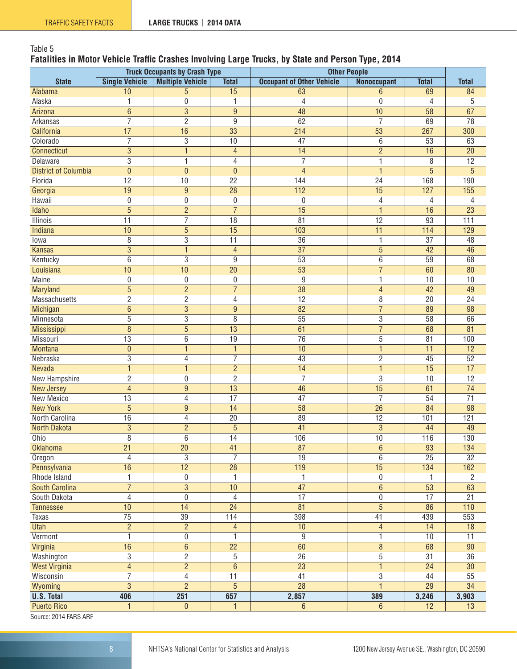### Table 5

#### **Fatalities in Motor Vehicle Traffic Crashes Involving Large Trucks, by State and Person Type, 2014**

|                                       |                          | <b>Truck Occupants by Crash Type</b> |                                   | <b>Other People</b>              |                             |                                 |                      |
|---------------------------------------|--------------------------|--------------------------------------|-----------------------------------|----------------------------------|-----------------------------|---------------------------------|----------------------|
| <b>State</b>                          | <b>Single Vehicle</b>    | <b>Multiple Vehicle</b>              | <b>Total</b>                      | <b>Occupant of Other Vehicle</b> | <b>Nonoccupant</b>          | <b>Total</b>                    | <b>Total</b>         |
| Alabama                               | 10                       | 5                                    | 15                                | 63                               | $6\phantom{1}6$             | 69                              | 84                   |
| Alaska                                | 1                        | 0                                    | 1                                 | $\overline{4}$                   | $\overline{0}$              | $\overline{4}$                  | 5                    |
| Arizona                               | $\overline{6}$           | $\overline{3}$                       | $\overline{9}$                    | 48                               | 10                          | 58                              | 67                   |
| Arkansas                              | $\overline{7}$           | $\overline{2}$                       | $\overline{9}$                    | 62                               | $\overline{7}$              | 69                              | $\overline{78}$      |
| California                            | 17                       | $\overline{16}$                      | $\overline{33}$                   | 214                              | $\overline{53}$             | 267                             | 300                  |
| Colorado                              | $\overline{7}$           | $\overline{3}$                       | $\overline{10}$                   | 47                               | 6                           | 53                              | 63                   |
| Connecticut                           | 3                        | $\mathbf{1}$                         | $\overline{4}$                    | 14                               | $\overline{2}$              | 16                              | $\overline{20}$      |
| Delaware                              | 3                        | 1                                    | 4                                 | 7                                | $\overline{1}$              | $\overline{8}$                  | 12                   |
| <b>District of Columbia</b>           | $\overline{0}$           | $\mathbf{0}$                         | $\mathbf{0}$                      | $\overline{4}$                   | $\mathbf{1}$                | $\overline{5}$                  | $\overline{5}$       |
| Florida                               | $\overline{12}$          | 10                                   | $\overline{22}$                   | 144                              | $\overline{24}$             | 168                             | 190                  |
| Georgia                               | 19                       | $\overline{9}$                       | $\overline{28}$                   | $\overline{112}$                 | $\overline{15}$             | 127                             | 155                  |
| Hawaii                                | $\mathbf 0$              | $\mathbf 0$                          | $\mathbf 0$                       | $\mathbf{0}$                     | $\overline{4}$              | 4                               | 4                    |
| Idaho                                 | $\overline{5}$           | $\overline{2}$                       | $\overline{7}$                    | 15                               | $\mathbf{1}$                | 16                              | $\overline{23}$      |
| <b>Illinois</b>                       | $\overline{11}$          | $\overline{7}$                       | $\overline{18}$                   | 81                               | 12                          | 93                              | 111                  |
| Indiana                               | 10                       | $\overline{5}$                       | $\overline{15}$                   | 103                              | $\overline{11}$             | 114                             | 129                  |
| lowa                                  | 8                        | 3                                    | 11                                | 36                               | 1                           | $\overline{37}$                 | 48                   |
| <b>Kansas</b>                         | $\overline{3}$           | $\mathbf{1}$                         | $\overline{4}$                    | 37                               | $\overline{5}$              | 42                              | 46                   |
| Kentucky                              | $\overline{6}$           | $\overline{3}$                       | $\overline{9}$                    | 53                               | 6                           | 59                              | 68                   |
| Louisiana                             | $\overline{10}$          | 10                                   | $\overline{20}$                   | $\overline{53}$                  | $\overline{7}$              | 60                              | 80                   |
| Maine                                 | $\boldsymbol{0}$         | $\boldsymbol{0}$                     | $\boldsymbol{0}$                  | 9                                | 1                           | 10                              | 10                   |
| <b>Maryland</b>                       | $\overline{5}$           | $\overline{2}$                       | $\overline{7}$                    | 38                               | $\overline{4}$              | 42                              | 49                   |
| Massachusetts                         | $\overline{2}$           | $\overline{2}$                       | 4                                 | $\overline{12}$                  | $\overline{8}$              | $\overline{20}$                 | $\overline{24}$      |
| Michigan                              | $\overline{6}$           | $\overline{3}$                       | $\overline{9}$                    | $\overline{82}$                  | $\overline{7}$              | 89                              | 98                   |
| Minnesota                             | 5                        | 3                                    | 8                                 | $\overline{55}$                  | 3                           | 58                              | 66                   |
| Mississippi                           | 8                        | $\overline{5}$                       | 13                                | 61                               | $\overline{7}$              | 68                              | 81                   |
| Missouri                              | 13                       | 6                                    | 19                                | 76                               | 5                           | 81                              | 100                  |
| <b>Montana</b>                        | $\mathbf 0$              | $\mathbf{1}$                         | 1                                 | 10                               | $\overline{1}$              | $\overline{11}$                 | $\overline{12}$      |
| Nebraska                              | $\overline{3}$           | 4                                    | $\overline{7}$                    | $\overline{43}$                  | $\overline{2}$              | $\overline{45}$                 | $\overline{52}$      |
| <b>Nevada</b>                         | $\mathbf{1}$             | $\mathbf{1}$                         | $\overline{2}$                    | 14                               | $\mathbf{1}$                | 15                              | 17                   |
| New Hampshire                         | $\overline{2}$           | $\boldsymbol{0}$                     | $\overline{2}$                    | $\overline{7}$                   | $\overline{3}$              | 10                              | $\overline{12}$      |
| <b>New Jersey</b>                     | $\overline{\mathcal{L}}$ | $9\,$                                | $\overline{13}$                   | 46                               | $\overline{15}$             | 61                              | $\overline{74}$      |
| <b>New Mexico</b>                     | $\overline{13}$          | 4                                    | 17                                | 47                               | $\overline{7}$              | 54                              | $\overline{71}$      |
| <b>New York</b>                       | 5                        | $\overline{9}$                       | $\overline{14}$                   | 58                               | $\overline{26}$             | 84                              | 98                   |
| North Carolina                        | 16                       | 4                                    | 20                                | 89                               | 12                          | 101                             | 121                  |
| North Dakota                          | 3                        | $\overline{2}$                       | 5                                 | 41                               | $\mathbf{3}$                | 44                              | 49                   |
| Ohio                                  | 8                        | 6                                    | $\overline{14}$                   | 106                              | $\overline{10}$             | 116                             | 130                  |
| <b>Oklahoma</b>                       | 21                       | 20                                   | 41                                | 87                               | $\boldsymbol{6}$            | 93                              | 134                  |
| Oregon                                | 4                        | $\overline{3}$                       | $\overline{7}$                    | 19                               | $6\phantom{1}$              | $\overline{25}$                 | 32                   |
| Pennsylvania                          | 16                       | $\overline{12}$                      | $\overline{28}$                   | 119                              | 15                          | 134                             | 162                  |
| Rhode Island<br><b>South Carolina</b> | 1<br>$\overline{7}$      | 0<br>$\overline{3}$                  | 1<br>10                           | 1<br>$\overline{47}$             | $\mathbf 0$<br>$\,6\,$      | $\mathbf{1}$<br>$\overline{53}$ | $\overline{2}$<br>63 |
| South Dakota                          | $\overline{4}$           |                                      |                                   | $\overline{17}$                  |                             | $\overline{17}$                 | 21                   |
|                                       | 10                       | $\bf{0}$<br>14                       | $\overline{4}$<br>$\overline{24}$ | 81                               | $\pmb{0}$<br>$\overline{5}$ | 86                              | 110                  |
| <b>Tennessee</b>                      | $\overline{75}$          | $\overline{39}$                      | 114                               | 398                              | 41                          | 439                             | 553                  |
| Texas<br><b>Utah</b>                  | $\overline{2}$           | $\overline{2}$                       |                                   | 10                               |                             | $\overline{14}$                 | $\overline{18}$      |
|                                       | $\mathbf{1}$             |                                      | $\overline{4}$                    |                                  | $\overline{4}$              |                                 |                      |
| Vermont                               | 16                       | $\pmb{0}$<br>$\overline{6}$          | 1<br>$\overline{22}$              | 9<br>60                          | 1<br>$\overline{\bf 8}$     | 10<br>68                        | 11<br>90             |
| Virginia<br>Washington                | $\overline{3}$           | $\overline{2}$                       | 5                                 | $\overline{26}$                  | $\overline{5}$              | 31                              | 36                   |
| <b>West Virginia</b>                  | $\overline{4}$           | $\overline{2}$                       | $\overline{6}$                    | $\overline{23}$                  | $\overline{1}$              | $\overline{24}$                 | $\overline{30}$      |
| Wisconsin                             | $\overline{7}$           | $\overline{\mathcal{L}}$             | 11                                | 41                               | 3                           | 44                              | 55                   |
| Wyoming                               | $\overline{3}$           | $\overline{2}$                       | $\overline{5}$                    | $\overline{28}$                  | $\mathbf{1}$                | $\overline{29}$                 | $\overline{34}$      |
| <b>U.S. Total</b>                     | 406                      | 251                                  | 657                               | 2,857                            | 389                         | 3,246                           | 3,903                |
| <b>Puerto Rico</b>                    | 1                        | $\pmb{0}$                            | 1                                 | $6\phantom{.}$                   | $\,6\,$                     | 12                              | 13                   |
|                                       |                          |                                      |                                   |                                  |                             |                                 |                      |

Source: 2014 FARS ARF